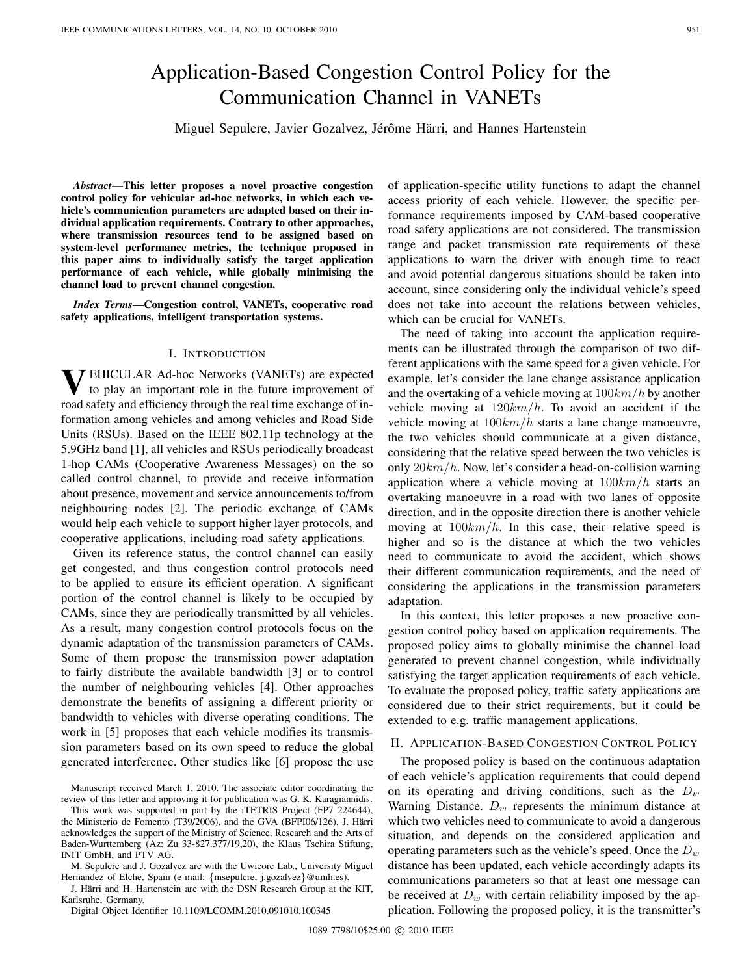# Application-Based Congestion Control Policy for the Communication Channel in VANETs

Miguel Sepulcre, Javier Gozalvez, Jérôme Härri, and Hannes Hartenstein

*Abstract***—This letter proposes a novel proactive congestion control policy for vehicular ad-hoc networks, in which each vehicle's communication parameters are adapted based on their individual application requirements. Contrary to other approaches, where transmission resources tend to be assigned based on system-level performance metrics, the technique proposed in this paper aims to individually satisfy the target application performance of each vehicle, while globally minimising the channel load to prevent channel congestion.**

*Index Terms***—Congestion control, VANETs, cooperative road safety applications, intelligent transportation systems.**

## I. INTRODUCTION

**V**EHICULAR Ad-hoc Networks (VANETs) are expected to play an important role in the future improvement of road safety and efficiency through the real time exchange of information among vehicles and among vehicles and Road Side Units (RSUs). Based on the IEEE 802.11p technology at the 5.9GHz band [1], all vehicles and RSUs periodically broadcast 1-hop CAMs (Cooperative Awareness Messages) on the so called control channel, to provide and receive information about presence, movement and service announcements to/from neighbouring nodes [2]. The periodic exchange of CAMs would help each vehicle to support higher layer protocols, and cooperative applications, including road safety applications.

Given its reference status, the control channel can easily get congested, and thus congestion control protocols need to be applied to ensure its efficient operation. A significant portion of the control channel is likely to be occupied by CAMs, since they are periodically transmitted by all vehicles. As a result, many congestion control protocols focus on the dynamic adaptation of the transmission parameters of CAMs. Some of them propose the transmission power adaptation to fairly distribute the available bandwidth [3] or to control the number of neighbouring vehicles [4]. Other approaches demonstrate the benefits of assigning a different priority or bandwidth to vehicles with diverse operating conditions. The work in [5] proposes that each vehicle modifies its transmission parameters based on its own speed to reduce the global generated interference. Other studies like [6] propose the use

Manuscript received March 1, 2010. The associate editor coordinating the review of this letter and approving it for publication was G. K. Karagiannidis.

M. Sepulcre and J. Gozalvez are with the Uwicore Lab., University Miguel Hernandez of Elche, Spain (e-mail: {msepulcre, j.gozalvez}@umh.es).

J. Härri and H. Hartenstein are with the DSN Research Group at the KIT, Karlsruhe, Germany.

Digital Object Identifier 10.1109/LCOMM.2010.091010.100345

of application-specific utility functions to adapt the channel access priority of each vehicle. However, the specific performance requirements imposed by CAM-based cooperative road safety applications are not considered. The transmission range and packet transmission rate requirements of these applications to warn the driver with enough time to react and avoid potential dangerous situations should be taken into account, since considering only the individual vehicle's speed does not take into account the relations between vehicles, which can be crucial for VANETs.

The need of taking into account the application requirements can be illustrated through the comparison of two different applications with the same speed for a given vehicle. For example, let's consider the lane change assistance application and the overtaking of a vehicle moving at  $100km/h$  by another vehicle moving at  $120km/h$ . To avoid an accident if the vehicle moving at  $100km/h$  starts a lane change manoeuvre, the two vehicles should communicate at a given distance, considering that the relative speed between the two vehicles is only  $20km/h$ . Now, let's consider a head-on-collision warning application where a vehicle moving at  $100km/h$  starts an overtaking manoeuvre in a road with two lanes of opposite direction, and in the opposite direction there is another vehicle moving at  $100km/h$ . In this case, their relative speed is higher and so is the distance at which the two vehicles need to communicate to avoid the accident, which shows their different communication requirements, and the need of considering the applications in the transmission parameters adaptation.

In this context, this letter proposes a new proactive congestion control policy based on application requirements. The proposed policy aims to globally minimise the channel load generated to prevent channel congestion, while individually satisfying the target application requirements of each vehicle. To evaluate the proposed policy, traffic safety applications are considered due to their strict requirements, but it could be extended to e.g. traffic management applications.

# II. APPLICATION-BASED CONGESTION CONTROL POLICY

The proposed policy is based on the continuous adaptation of each vehicle's application requirements that could depend on its operating and driving conditions, such as the  $D_w$ Warning Distance.  $D_w$  represents the minimum distance at which two vehicles need to communicate to avoid a dangerous situation, and depends on the considered application and operating parameters such as the vehicle's speed. Once the  $D<sub>w</sub>$ distance has been updated, each vehicle accordingly adapts its communications parameters so that at least one message can be received at  $D_w$  with certain reliability imposed by the application. Following the proposed policy, it is the transmitter's

This work was supported in part by the iTETRIS Project (FP7 224644), the Ministerio de Fomento (T39/2006), and the GVA (BFPI06/126). J. Härri acknowledges the support of the Ministry of Science, Research and the Arts of Baden-Wurttemberg (Az: Zu 33-827.377/19,20), the Klaus Tschira Stiftung, INIT GmbH, and PTV AG.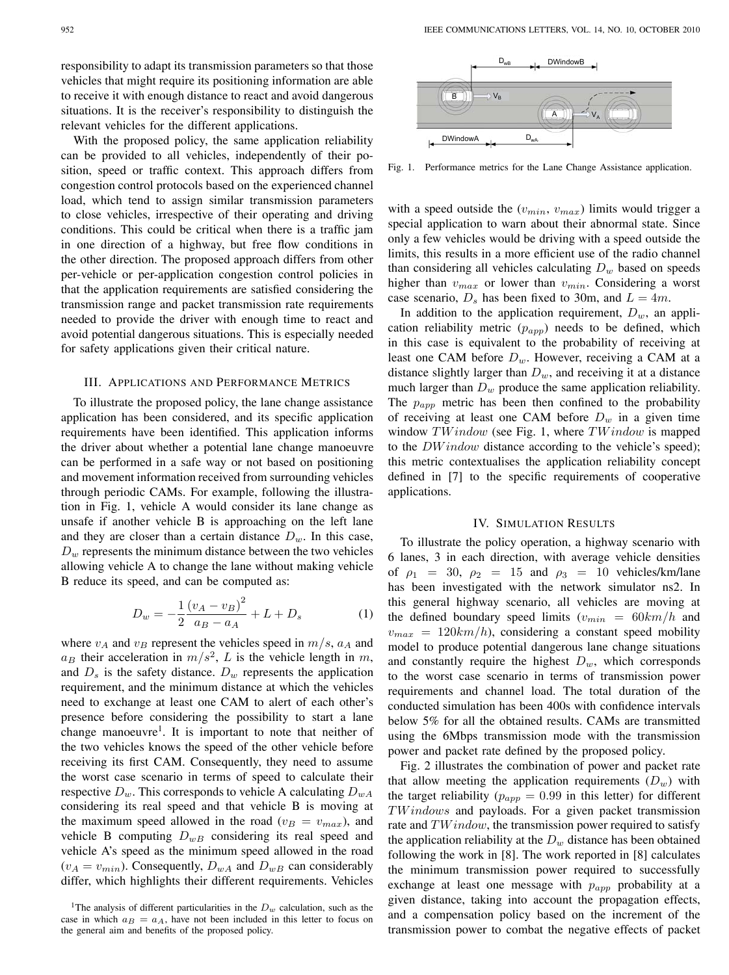responsibility to adapt its transmission parameters so that those vehicles that might require its positioning information are able to receive it with enough distance to react and avoid dangerous situations. It is the receiver's responsibility to distinguish the relevant vehicles for the different applications.

With the proposed policy, the same application reliability can be provided to all vehicles, independently of their position, speed or traffic context. This approach differs from congestion control protocols based on the experienced channel load, which tend to assign similar transmission parameters to close vehicles, irrespective of their operating and driving conditions. This could be critical when there is a traffic jam in one direction of a highway, but free flow conditions in the other direction. The proposed approach differs from other per-vehicle or per-application congestion control policies in that the application requirements are satisfied considering the transmission range and packet transmission rate requirements needed to provide the driver with enough time to react and avoid potential dangerous situations. This is especially needed for safety applications given their critical nature.

#### III. APPLICATIONS AND PERFORMANCE METRICS

To illustrate the proposed policy, the lane change assistance application has been considered, and its specific application requirements have been identified. This application informs the driver about whether a potential lane change manoeuvre can be performed in a safe way or not based on positioning and movement information received from surrounding vehicles through periodic CAMs. For example, following the illustration in Fig. 1, vehicle A would consider its lane change as unsafe if another vehicle B is approaching on the left lane and they are closer than a certain distance  $D_w$ . In this case,  $D_w$  represents the minimum distance between the two vehicles allowing vehicle A to change the lane without making vehicle B reduce its speed, and can be computed as:

$$
D_w = -\frac{1}{2} \frac{(v_A - v_B)^2}{a_B - a_A} + L + D_s \tag{1}
$$

where  $v_A$  and  $v_B$  represent the vehicles speed in  $m/s$ ,  $a_A$  and  $a_B$  their acceleration in  $m/s^2$ , L is the vehicle length in m, and  $D_s$  is the safety distance.  $D_w$  represents the application requirement, and the minimum distance at which the vehicles need to exchange at least one CAM to alert of each other's presence before considering the possibility to start a lane change manoeuvre<sup>1</sup>. It is important to note that neither of the two vehicles knows the speed of the other vehicle before receiving its first CAM. Consequently, they need to assume the worst case scenario in terms of speed to calculate their respective  $D_w$ . This corresponds to vehicle A calculating  $D_{wA}$ considering its real speed and that vehicle B is moving at the maximum speed allowed in the road ( $v_B = v_{max}$ ), and vehicle B computing  $D_{wB}$  considering its real speed and vehicle A's speed as the minimum speed allowed in the road  $(v_A = v_{min})$ . Consequently,  $D_{wA}$  and  $D_{wB}$  can considerably differ, which highlights their different requirements. Vehicles



Fig. 1. Performance metrics for the Lane Change Assistance application.

with a speed outside the  $(v_{min}, v_{max})$  limits would trigger a special application to warn about their abnormal state. Since only a few vehicles would be driving with a speed outside the limits, this results in a more efficient use of the radio channel than considering all vehicles calculating  $D_w$  based on speeds higher than  $v_{max}$  or lower than  $v_{min}$ . Considering a worst case scenario,  $D_s$  has been fixed to 30m, and  $L = 4m$ .

In addition to the application requirement,  $D_w$ , an application reliability metric  $(p_{app})$  needs to be defined, which in this case is equivalent to the probability of receiving at least one CAM before  $D_w$ . However, receiving a CAM at a distance slightly larger than  $D_w$ , and receiving it at a distance much larger than  $D_w$  produce the same application reliability. The  $p_{app}$  metric has been then confined to the probability of receiving at least one CAM before  $D_w$  in a given time window  $TWindow$  (see Fig. 1, where  $TWindow$  is mapped to the  $DWindown$  distance according to the vehicle's speed); this metric contextualises the application reliability concept defined in [7] to the specific requirements of cooperative applications.

# IV. SIMULATION RESULTS

To illustrate the policy operation, a highway scenario with 6 lanes, 3 in each direction, with average vehicle densities of  $\rho_1 = 30$ ,  $\rho_2 = 15$  and  $\rho_3 = 10$  vehicles/km/lane has been investigated with the network simulator ns2. In this general highway scenario, all vehicles are moving at the defined boundary speed limits  $(v_{min} = 60km/h$  and  $v_{max} = 120km/h$ , considering a constant speed mobility model to produce potential dangerous lane change situations and constantly require the highest  $D_w$ , which corresponds to the worst case scenario in terms of transmission power requirements and channel load. The total duration of the conducted simulation has been 400s with confidence intervals below 5% for all the obtained results. CAMs are transmitted using the 6Mbps transmission mode with the transmission power and packet rate defined by the proposed policy.

Fig. 2 illustrates the combination of power and packet rate that allow meeting the application requirements  $(D_w)$  with the target reliability ( $p_{app} = 0.99$  in this letter) for different  $TWindows$  and payloads. For a given packet transmission rate and  $TWindown$ , the transmission power required to satisfy the application reliability at the  $D_w$  distance has been obtained following the work in [8]. The work reported in [8] calculates the minimum transmission power required to successfully exchange at least one message with  $p_{app}$  probability at a given distance, taking into account the propagation effects, and a compensation policy based on the increment of the transmission power to combat the negative effects of packet

<sup>&</sup>lt;sup>1</sup>The analysis of different particularities in the  $D_w$  calculation, such as the case in which  $a_B = a_A$ , have not been included in this letter to focus on the general aim and benefits of the proposed policy.